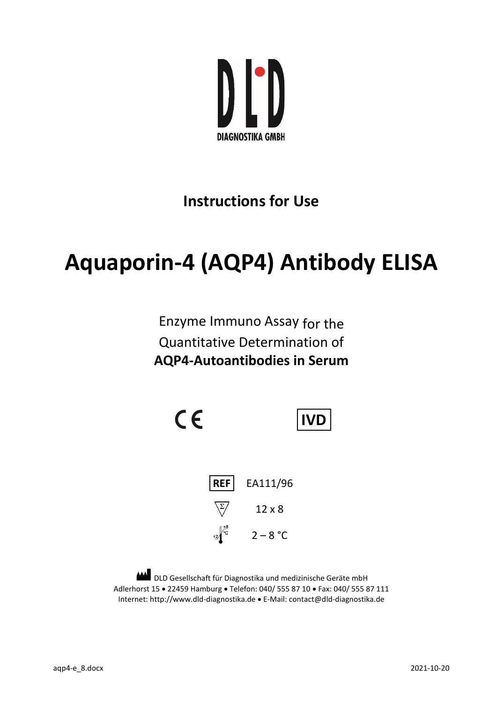

# **Instructions for Use**

# **Aquaporin-4 (AQP4) Antibody ELISA**

Enzyme Immuno Assay for the Quantitative Determination of **AQP4-Autoantibodies in Serum**

 $C \in$ **IVD REF** EA111/96  $\sqrt{\frac{2}{\sqrt{2}}}$ 12 x 8  $-2\int_{0}^{+8}$  2 – 8 °C

DLD Gesellschaft für Diagnostika und medizinische Geräte mbH ٨ Adlerhorst 15 · 22459 Hamburg · Telefon: 040/ 555 87 10 · Fax: 040/ 555 87 111 Internet: http://www.dld-diagnostika.de E-Mail[: contact@dld-diagnostika.de](mailto:contact@dld-diagnostika.de)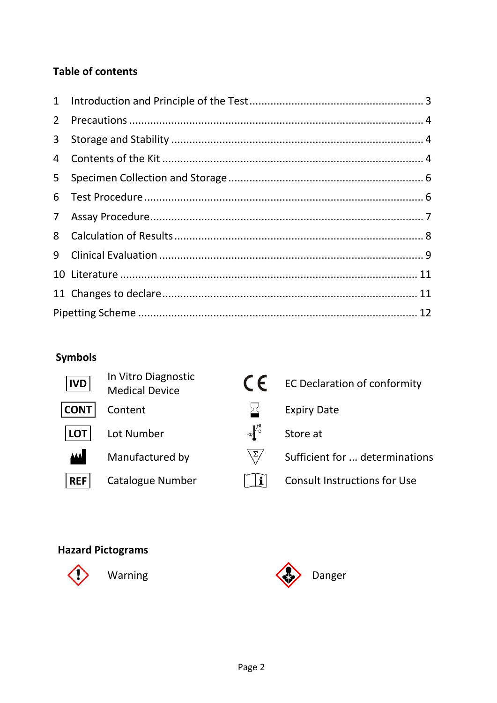### **Table of contents**

| $2^{\circ}$    |  |
|----------------|--|
|                |  |
|                |  |
| 5              |  |
|                |  |
| 7 <sup>7</sup> |  |
| 8              |  |
| 9              |  |
|                |  |
|                |  |
|                |  |

# **Symbols**

| <b>IVD</b>  | In Vitro Diagnostic<br><b>Medical Device</b> | $\epsilon$         | <b>EC Declaration of conformity</b> |
|-------------|----------------------------------------------|--------------------|-------------------------------------|
| <b>CONT</b> | Content                                      |                    | <b>Expiry Date</b>                  |
| <b>LOT</b>  | Lot Number                                   | $+2\int_{-C}^{+8}$ | Store at                            |
| <b>AAA</b>  | Manufactured by                              | $\Sigma/$          | Sufficient for  determinations      |
| <b>REF</b>  | <b>Catalogue Number</b>                      | $\mathbf i$        | <b>Consult Instructions for Use</b> |
|             |                                              |                    |                                     |

## **Hazard Pictograms**



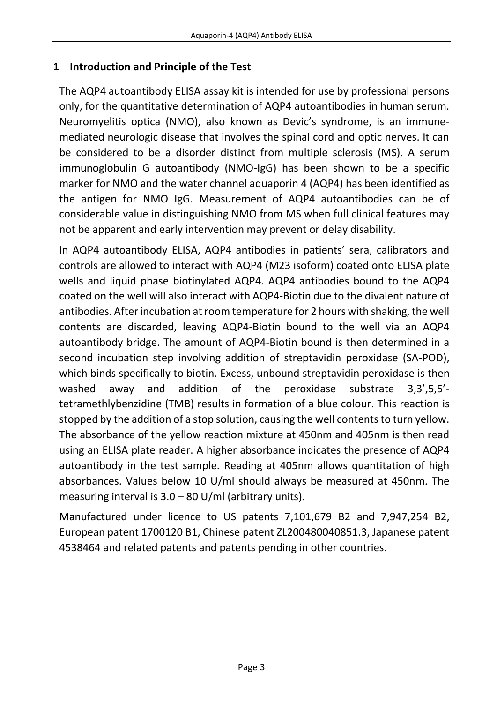#### <span id="page-2-0"></span>**1 Introduction and Principle of the Test**

The AQP4 autoantibody ELISA assay kit is intended for use by professional persons only, for the quantitative determination of AQP4 autoantibodies in human serum. Neuromyelitis optica (NMO), also known as Devic's syndrome, is an immunemediated neurologic disease that involves the spinal cord and optic nerves. It can be considered to be a disorder distinct from multiple sclerosis (MS). A serum immunoglobulin G autoantibody (NMO-IgG) has been shown to be a specific marker for NMO and the water channel aquaporin 4 (AQP4) has been identified as the antigen for NMO IgG. Measurement of AQP4 autoantibodies can be of considerable value in distinguishing NMO from MS when full clinical features may not be apparent and early intervention may prevent or delay disability.

In AQP4 autoantibody ELISA, AQP4 antibodies in patients' sera, calibrators and controls are allowed to interact with AQP4 (M23 isoform) coated onto ELISA plate wells and liquid phase biotinylated AQP4. AQP4 antibodies bound to the AQP4 coated on the well will also interact with AQP4-Biotin due to the divalent nature of antibodies. After incubation at room temperature for 2 hours with shaking, the well contents are discarded, leaving AQP4-Biotin bound to the well via an AQP4 autoantibody bridge. The amount of AQP4-Biotin bound is then determined in a second incubation step involving addition of streptavidin peroxidase (SA-POD), which binds specifically to biotin. Excess, unbound streptavidin peroxidase is then washed away and addition of the peroxidase substrate 3,3',5,5' tetramethlybenzidine (TMB) results in formation of a blue colour. This reaction is stopped by the addition of a stop solution, causing the well contents to turn yellow. The absorbance of the yellow reaction mixture at 450nm and 405nm is then read using an ELISA plate reader. A higher absorbance indicates the presence of AQP4 autoantibody in the test sample. Reading at 405nm allows quantitation of high absorbances. Values below 10 U/ml should always be measured at 450nm. The measuring interval is  $3.0 - 80$  U/ml (arbitrary units).

Manufactured under licence to US patents 7,101,679 B2 and 7,947,254 B2, European patent 1700120 B1, Chinese patent ZL200480040851.3, Japanese patent 4538464 and related patents and patents pending in other countries.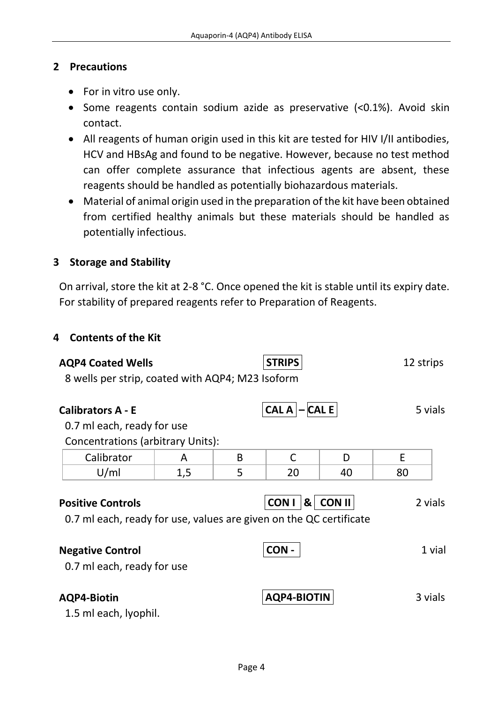#### <span id="page-3-0"></span>**2 Precautions**

- For in vitro use only.
- Some reagents contain sodium azide as preservative (<0.1%). Avoid skin contact.
- All reagents of human origin used in this kit are tested for HIV I/II antibodies, HCV and HBsAg and found to be negative. However, because no test method can offer complete assurance that infectious agents are absent, these reagents should be handled as potentially biohazardous materials.
- Material of animal origin used in the preparation of the kit have been obtained from certified healthy animals but these materials should be handled as potentially infectious.

#### <span id="page-3-1"></span>**3 Storage and Stability**

On arrival, store the kit at 2-8 °C. Once opened the kit is stable until its expiry date. For stability of prepared reagents refer to Preparation of Reagents.

#### <span id="page-3-2"></span>**4 Contents of the Kit**

| <b>AQP4 Coated Wells</b>                                                                       |     |   | <b>STRIPS</b>       |          | 12 strips |         |
|------------------------------------------------------------------------------------------------|-----|---|---------------------|----------|-----------|---------|
| 8 wells per strip, coated with AQP4; M23 Isoform                                               |     |   |                     |          |           |         |
| <b>Calibrators A - E</b>                                                                       |     |   | $CAL A   -   CAL E$ |          |           | 5 vials |
| 0.7 ml each, ready for use                                                                     |     |   |                     |          |           |         |
| <b>Concentrations (arbitrary Units):</b>                                                       |     |   |                     |          |           |         |
| Calibrator                                                                                     | A   | B | C                   | D        | E         |         |
| U/ml                                                                                           | 1,5 | 5 | 20                  | 40       | 80        |         |
| <b>Positive Controls</b><br>0.7 ml each, ready for use, values are given on the QC certificate |     |   | <b>CONI</b>         | & CON II |           | 2 vials |
| <b>Negative Control</b><br>0.7 ml each, ready for use                                          |     |   | CON-                |          |           | 1 vial  |
| <b>AQP4-Biotin</b>                                                                             |     |   | <b>AQP4-BIOTIN</b>  |          |           | 3 vials |

1.5 ml each, lyophil.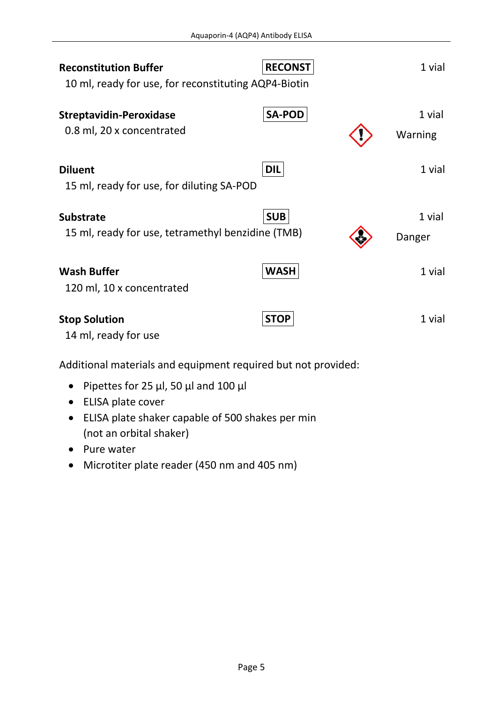| <b>Reconstitution Buffer</b>                                | <b>RECONST</b> | 1 vial            |
|-------------------------------------------------------------|----------------|-------------------|
| 10 ml, ready for use, for reconstituting AQP4-Biotin        |                |                   |
| <b>Streptavidin-Peroxidase</b><br>0.8 ml, 20 x concentrated | <b>SA-POD</b>  | 1 vial<br>Warning |
| <b>Diluent</b>                                              | <b>DIL</b>     | 1 vial            |
| 15 ml, ready for use, for diluting SA-POD                   |                |                   |
| <b>Substrate</b>                                            | <b>SUB</b>     | 1 vial            |
| 15 ml, ready for use, tetramethyl benzidine (TMB)           |                | Danger            |
| <b>Wash Buffer</b>                                          | <b>WASH</b>    | 1 vial            |
| 120 ml, 10 x concentrated                                   |                |                   |
| <b>Stop Solution</b><br>14 ml, ready for use                | <b>STOP</b>    | 1 vial            |

Additional materials and equipment required but not provided:

- Pipettes for 25  $\mu$ l, 50  $\mu$ l and 100  $\mu$ l
- ELISA plate cover
- ELISA plate shaker capable of 500 shakes per min (not an orbital shaker)
- Pure water
- Microtiter plate reader (450 nm and 405 nm)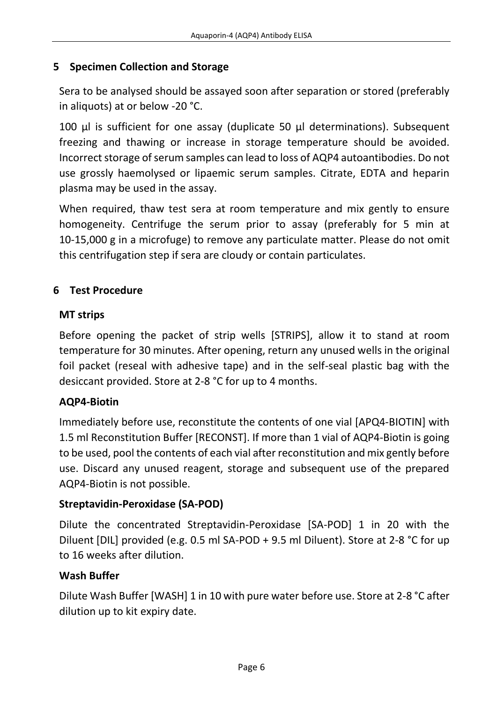#### <span id="page-5-0"></span>**5 Specimen Collection and Storage**

Sera to be analysed should be assayed soon after separation or stored (preferably in aliquots) at or below -20 °C.

100 µl is sufficient for one assay (duplicate 50 µl determinations). Subsequent freezing and thawing or increase in storage temperature should be avoided. Incorrect storage of serum samples can lead to loss of AQP4 autoantibodies. Do not use grossly haemolysed or lipaemic serum samples. Citrate, EDTA and heparin plasma may be used in the assay.

When required, thaw test sera at room temperature and mix gently to ensure homogeneity. Centrifuge the serum prior to assay (preferably for 5 min at 10-15,000 g in a microfuge) to remove any particulate matter. Please do not omit this centrifugation step if sera are cloudy or contain particulates.

#### <span id="page-5-1"></span>**6 Test Procedure**

#### **MT strips**

Before opening the packet of strip wells [STRIPS], allow it to stand at room temperature for 30 minutes. After opening, return any unused wells in the original foil packet (reseal with adhesive tape) and in the self-seal plastic bag with the desiccant provided. Store at 2-8 °C for up to 4 months.

#### **AQP4-Biotin**

Immediately before use, reconstitute the contents of one vial [APQ4-BIOTIN] with 1.5 ml Reconstitution Buffer [RECONST]. If more than 1 vial of AQP4-Biotin is going to be used, pool the contents of each vial after reconstitution and mix gently before use. Discard any unused reagent, storage and subsequent use of the prepared AQP4-Biotin is not possible.

#### **Streptavidin-Peroxidase (SA-POD)**

Dilute the concentrated Streptavidin-Peroxidase [SA-POD] 1 in 20 with the Diluent [DIL] provided (e.g. 0.5 ml SA-POD + 9.5 ml Diluent). Store at 2-8 °C for up to 16 weeks after dilution.

#### **Wash Buffer**

Dilute Wash Buffer [WASH] 1 in 10 with pure water before use. Store at 2-8 °C after dilution up to kit expiry date.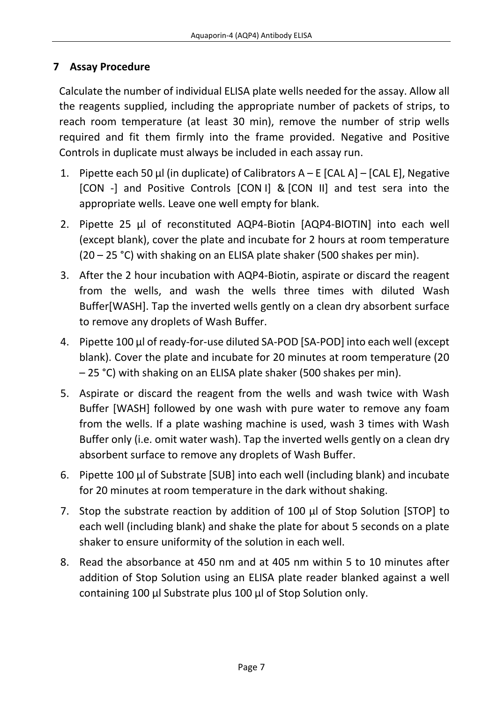#### <span id="page-6-0"></span>**7 Assay Procedure**

Calculate the number of individual ELISA plate wells needed for the assay. Allow all the reagents supplied, including the appropriate number of packets of strips, to reach room temperature (at least 30 min), remove the number of strip wells required and fit them firmly into the frame provided. Negative and Positive Controls in duplicate must always be included in each assay run.

- 1. Pipette each 50  $\mu$ l (in duplicate) of Calibrators A E [CAL A] [CAL E], Negative [CON -] and Positive Controls [CON I] & [CON II] and test sera into the appropriate wells. Leave one well empty for blank.
- 2. Pipette 25 µl of reconstituted AQP4-Biotin [AQP4-BIOTIN] into each well (except blank), cover the plate and incubate for 2 hours at room temperature (20 – 25 °C) with shaking on an ELISA plate shaker (500 shakes per min).
- 3. After the 2 hour incubation with AQP4-Biotin, aspirate or discard the reagent from the wells, and wash the wells three times with diluted Wash Buffer[WASH]. Tap the inverted wells gently on a clean dry absorbent surface to remove any droplets of Wash Buffer.
- 4. Pipette 100 µl of ready-for-use diluted SA-POD [SA-POD] into each well (except blank). Cover the plate and incubate for 20 minutes at room temperature (20 – 25 °C) with shaking on an ELISA plate shaker (500 shakes per min).
- 5. Aspirate or discard the reagent from the wells and wash twice with Wash Buffer [WASH] followed by one wash with pure water to remove any foam from the wells. If a plate washing machine is used, wash 3 times with Wash Buffer only (i.e. omit water wash). Tap the inverted wells gently on a clean dry absorbent surface to remove any droplets of Wash Buffer.
- 6. Pipette 100 µl of Substrate [SUB] into each well (including blank) and incubate for 20 minutes at room temperature in the dark without shaking.
- 7. Stop the substrate reaction by addition of 100 µl of Stop Solution [STOP] to each well (including blank) and shake the plate for about 5 seconds on a plate shaker to ensure uniformity of the solution in each well.
- 8. Read the absorbance at 450 nm and at 405 nm within 5 to 10 minutes after addition of Stop Solution using an ELISA plate reader blanked against a well containing 100 µl Substrate plus 100 µl of Stop Solution only.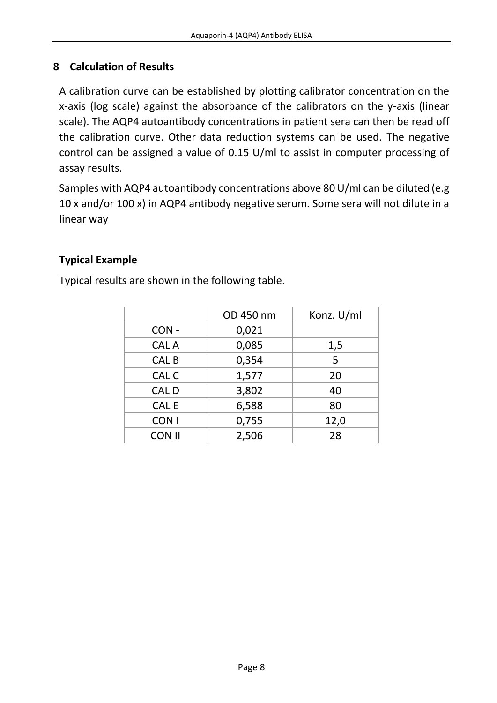#### <span id="page-7-0"></span>**8 Calculation of Results**

A calibration curve can be established by plotting calibrator concentration on the x-axis (log scale) against the absorbance of the calibrators on the y-axis (linear scale). The AQP4 autoantibody concentrations in patient sera can then be read off the calibration curve. Other data reduction systems can be used. The negative control can be assigned a value of 0.15 U/ml to assist in computer processing of assay results.

Samples with AQP4 autoantibody concentrations above 80 U/ml can be diluted (e.g 10 x and/or 100 x) in AQP4 antibody negative serum. Some sera will not dilute in a linear way

#### **Typical Example**

Typical results are shown in the following table.

|                  | OD 450 nm | Konz. U/ml |
|------------------|-----------|------------|
| CON-             | 0,021     |            |
| <b>CAL A</b>     | 0,085     | 1,5        |
| CAL <sub>B</sub> | 0,354     | 5          |
| CAL C            | 1,577     | 20         |
| <b>CALD</b>      | 3,802     | 40         |
| <b>CAL E</b>     | 6,588     | 80         |
| CON <sub>1</sub> | 0,755     | 12,0       |
| <b>CON II</b>    | 2,506     | 28         |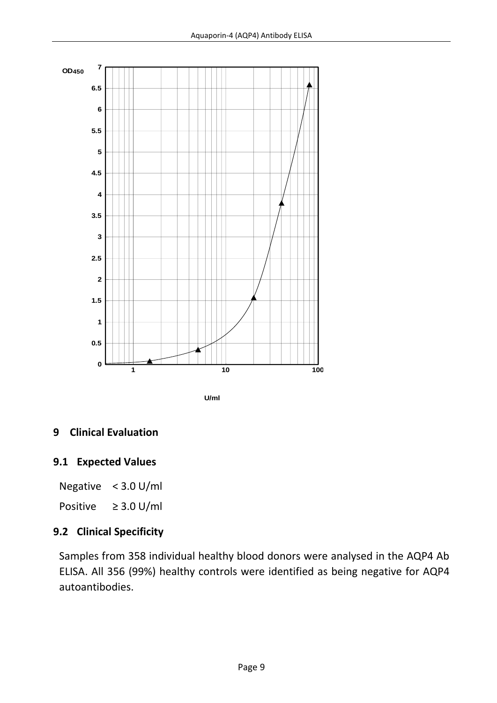

**U/ml**

#### <span id="page-8-0"></span>**9 Clinical Evaluation**

#### **9.1 Expected Values**

Negative < 3.0 U/ml

Positive ≥ 3.0 U/ml

#### **9.2 Clinical Specificity**

Samples from 358 individual healthy blood donors were analysed in the AQP4 Ab ELISA. All 356 (99%) healthy controls were identified as being negative for AQP4 autoantibodies.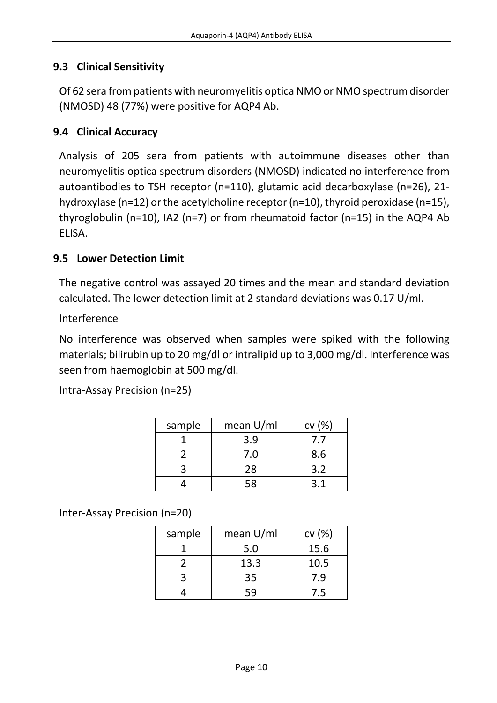#### **9.3 Clinical Sensitivity**

Of 62 sera from patients with neuromyelitis optica NMO or NMO spectrum disorder (NMOSD) 48 (77%) were positive for AQP4 Ab.

#### **9.4 Clinical Accuracy**

Analysis of 205 sera from patients with autoimmune diseases other than neuromyelitis optica spectrum disorders (NMOSD) indicated no interference from autoantibodies to TSH receptor (n=110), glutamic acid decarboxylase (n=26), 21 hydroxylase (n=12) or the acetylcholine receptor (n=10), thyroid peroxidase (n=15), thyroglobulin (n=10), IA2 (n=7) or from rheumatoid factor (n=15) in the AQP4 Ab ELISA.

#### **9.5 Lower Detection Limit**

The negative control was assayed 20 times and the mean and standard deviation calculated. The lower detection limit at 2 standard deviations was 0.17 U/ml.

Interference

No interference was observed when samples were spiked with the following materials; bilirubin up to 20 mg/dl or intralipid up to 3,000 mg/dl. Interference was seen from haemoglobin at 500 mg/dl.

Intra-Assay Precision (n=25)

| sample | mean U/ml | cv(%) |
|--------|-----------|-------|
|        | 3.9       | 7.7   |
|        | 7.0       | 8.6   |
|        | 28        | 3.2   |
|        | 58        | ว 1   |

Inter-Assay Precision (n=20)

| sample | mean U/ml | cv(%) |
|--------|-----------|-------|
|        | 5.0       | 15.6  |
|        | 13.3      | 10.5  |
|        | 35        | 7.9   |
|        | 59        | 7.5   |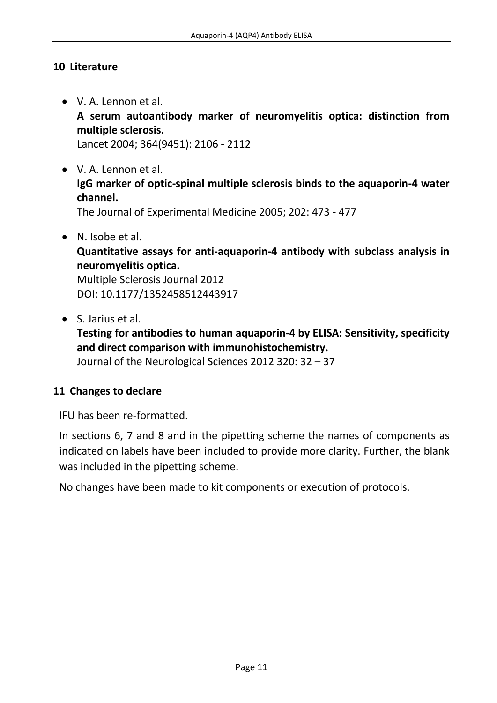#### <span id="page-10-0"></span>**10 Literature**

- V. A. Lennon et al. **A serum autoantibody marker of neuromyelitis optica: distinction from multiple sclerosis.**  Lancet 2004; 364(9451): 2106 - 2112
- V. A. Lennon et al. **IgG marker of optic-spinal multiple sclerosis binds to the aquaporin-4 water channel.**  The Journal of Experimental Medicine 2005; 202: 473 - 477

 N. Isobe et al. **Quantitative assays for anti-aquaporin-4 antibody with subclass analysis in neuromyelitis optica.**

Multiple Sclerosis Journal 2012 DOI: 10.1177/1352458512443917

S. Jarius et al.

**Testing for antibodies to human aquaporin-4 by ELISA: Sensitivity, specificity and direct comparison with immunohistochemistry.**

Journal of the Neurological Sciences 2012 320: 32 – 37

#### <span id="page-10-1"></span>**11 Changes to declare**

IFU has been re-formatted.

In sections 6, 7 and 8 and in the pipetting scheme the names of components as indicated on labels have been included to provide more clarity. Further, the blank was included in the pipetting scheme.

No changes have been made to kit components or execution of protocols.